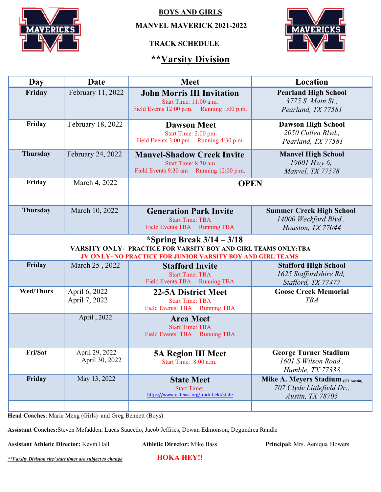

**BOYS AND GIRLS**

 **MANVEL MAVERICK 2021-2022**

### **TRACK SCHEDULE**

# **\*\*Varsity Division**



| Day              | <b>Date</b>                      | <b>Meet</b>                                                                                                                                                  | Location                                                                             |  |
|------------------|----------------------------------|--------------------------------------------------------------------------------------------------------------------------------------------------------------|--------------------------------------------------------------------------------------|--|
| Friday           | February 11, 2022                | <b>John Morris III Invitation</b><br>Start Time: 11:00 a.m.<br>Field Events 12:00 p.m. Running 1:00 p.m.                                                     | <b>Pearland High School</b><br>3775 S. Main St.,<br>Pearland, TX 77581               |  |
| Friday           | February 18, 2022                | <b>Dawson Meet</b><br>Start Time: 2:00 pm<br>Field Events 3:00 pm Running 4:30 p.m.                                                                          | <b>Dawson High School</b><br>2050 Cullen Blvd.,<br>Pearland, TX 77581                |  |
| <b>Thursday</b>  | February 24, 2022                | <b>Manyel-Shadow Creek Invite</b><br>Start Time: 8:30 am<br>Field Events 9:30 am Running 12:00 p.m.                                                          | <b>Manvel High School</b><br>19601 Hwy 6,<br>Manvel, TX 77578                        |  |
| Friday           | March 4, 2022                    | <b>OPEN</b>                                                                                                                                                  |                                                                                      |  |
| Thursday         | March 10, 2022                   | <b>Generation Park Invite</b><br><b>Start Time: TBA</b><br>Field Events TBA Running TBA                                                                      | <b>Summer Creek High School</b><br>14000 Weckford Blvd.,<br>Houston, TX 77044        |  |
|                  |                                  | *Spring Break $3/14 - 3/18$<br>VARSITY ONLY- PRACTICE FOR VARSITY BOY AND GIRL TEAMS ONLY: TBA<br>JV ONLY- NO PRACTICE FOR JUNIOR VARSITY BOY AND GIRL TEAMS |                                                                                      |  |
| Friday           | March 25, 2022                   | <b>Stafford Invite</b><br><b>Start Time: TBA</b><br>Field Events TBA Running TBA                                                                             | <b>Stafford High School</b><br>1625 Staffordshire Rd,<br>Stafford, TX 77477          |  |
| <b>Wed/Thurs</b> | April 6, 2022<br>April 7, 2022   | <b>22-5A District Meet</b><br><b>Start Time: TBA</b><br>Field Events: TBA Running TBA                                                                        | <b>Goose Creek Memorial</b><br><b>TBA</b>                                            |  |
|                  | April, 2022                      | <b>Area Meet</b><br><b>Start Time: TBA</b><br>Field Events: TBA Running TBA                                                                                  |                                                                                      |  |
| Fri/Sat          | April 29, 2022<br>April 30, 2022 | <b>5A Region III Meet</b><br>Start Time: 8:00 a.m.                                                                                                           | <b>George Turner Stadium</b><br>1601 S Wilson Road.,<br>Humble, TX 77338             |  |
| Friday           | May 13, 2022                     | <b>State Meet</b><br><b>Start Time:</b><br>https://www.uiltexas.org/track-field/state                                                                        | Mike A. Meyers Stadium (UT Austin)<br>707 Clyde Littlefield Dr.,<br>Austin, TX 78705 |  |
|                  |                                  |                                                                                                                                                              |                                                                                      |  |

**Head Coaches**: Marie Meng (Girls) and Greg Bennett (Boys)

**Assistant Coaches:**Steven Mcfadden, Lucas Saucedo, Jacob Jeffries, Dewan Edmonson, Degundrea Randle

**Assistant Athletic Director:** Kevin Hall **Athletic Director:** Mike Bass **Principal:** Mrs. Aeniqua Flowers

*\*\*Varsity Division site/ start times are subject to change* **HOKA HEY!!**